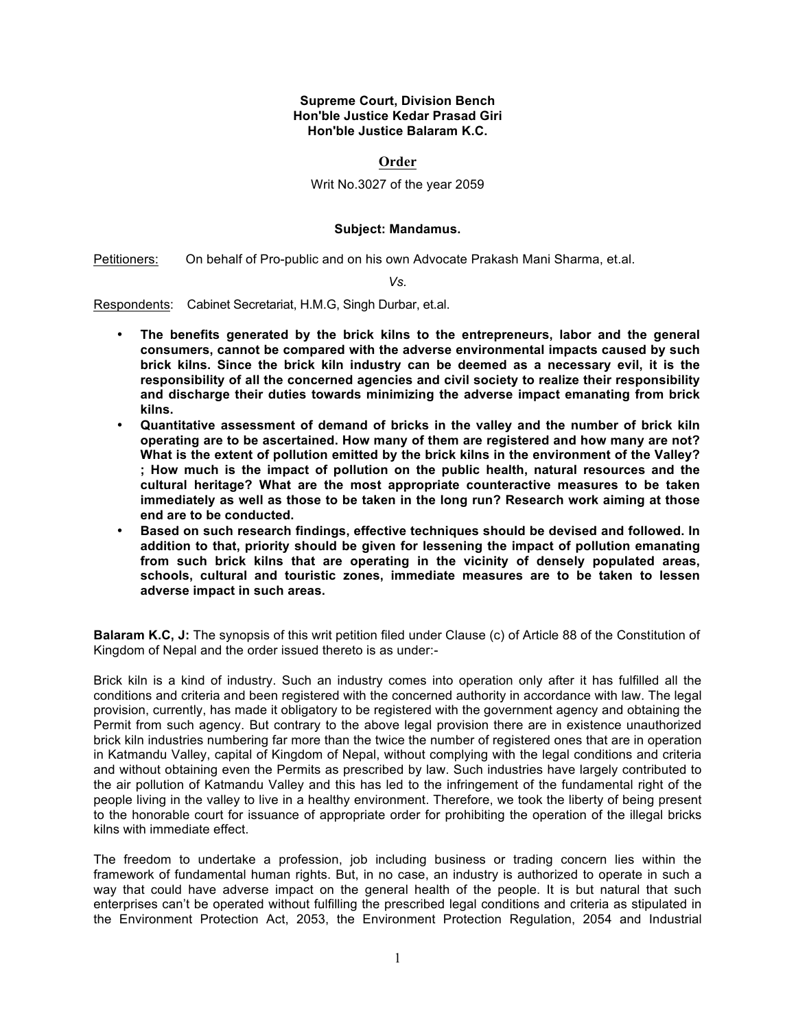## **Supreme Court, Division Bench Hon'ble Justice Kedar Prasad Giri Hon'ble Justice Balaram K.C.**

## **Order**

## Writ No.3027 of the year 2059

## **Subject: Mandamus.**

Petitioners: On behalf of Pro-public and on his own Advocate Prakash Mani Sharma, et.al.

*Vs.*

Respondents: Cabinet Secretariat, H.M.G, Singh Durbar, et.al.

- **The benefits generated by the brick kilns to the entrepreneurs, labor and the general consumers, cannot be compared with the adverse environmental impacts caused by such brick kilns. Since the brick kiln industry can be deemed as a necessary evil, it is the responsibility of all the concerned agencies and civil society to realize their responsibility and discharge their duties towards minimizing the adverse impact emanating from brick kilns.**
- **Quantitative assessment of demand of bricks in the valley and the number of brick kiln operating are to be ascertained. How many of them are registered and how many are not? What is the extent of pollution emitted by the brick kilns in the environment of the Valley? ; How much is the impact of pollution on the public health, natural resources and the cultural heritage? What are the most appropriate counteractive measures to be taken immediately as well as those to be taken in the long run? Research work aiming at those end are to be conducted.**
- **Based on such research findings, effective techniques should be devised and followed. In addition to that, priority should be given for lessening the impact of pollution emanating from such brick kilns that are operating in the vicinity of densely populated areas, schools, cultural and touristic zones, immediate measures are to be taken to lessen adverse impact in such areas.**

**Balaram K.C, J:** The synopsis of this writ petition filed under Clause (c) of Article 88 of the Constitution of Kingdom of Nepal and the order issued thereto is as under:-

Brick kiln is a kind of industry. Such an industry comes into operation only after it has fulfilled all the conditions and criteria and been registered with the concerned authority in accordance with law. The legal provision, currently, has made it obligatory to be registered with the government agency and obtaining the Permit from such agency. But contrary to the above legal provision there are in existence unauthorized brick kiln industries numbering far more than the twice the number of registered ones that are in operation in Katmandu Valley, capital of Kingdom of Nepal, without complying with the legal conditions and criteria and without obtaining even the Permits as prescribed by law. Such industries have largely contributed to the air pollution of Katmandu Valley and this has led to the infringement of the fundamental right of the people living in the valley to live in a healthy environment. Therefore, we took the liberty of being present to the honorable court for issuance of appropriate order for prohibiting the operation of the illegal bricks kilns with immediate effect.

The freedom to undertake a profession, job including business or trading concern lies within the framework of fundamental human rights. But, in no case, an industry is authorized to operate in such a way that could have adverse impact on the general health of the people. It is but natural that such enterprises can't be operated without fulfilling the prescribed legal conditions and criteria as stipulated in the Environment Protection Act, 2053, the Environment Protection Regulation, 2054 and Industrial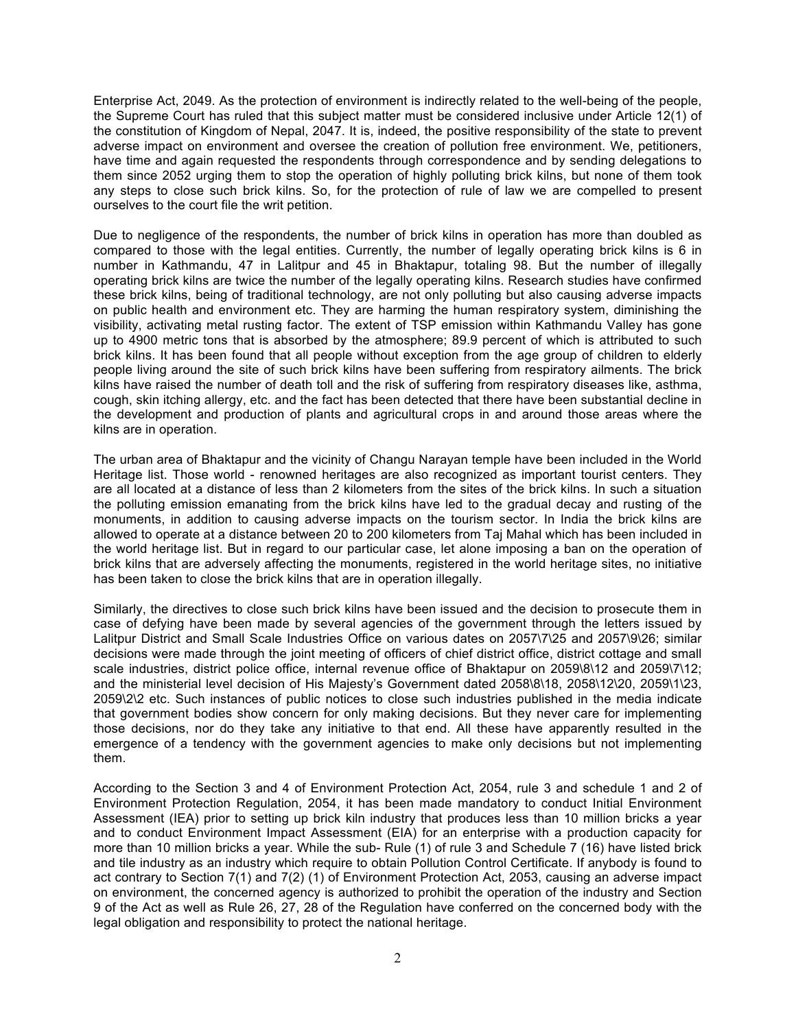Enterprise Act, 2049. As the protection of environment is indirectly related to the well-being of the people, the Supreme Court has ruled that this subject matter must be considered inclusive under Article 12(1) of the constitution of Kingdom of Nepal, 2047. It is, indeed, the positive responsibility of the state to prevent adverse impact on environment and oversee the creation of pollution free environment. We, petitioners, have time and again requested the respondents through correspondence and by sending delegations to them since 2052 urging them to stop the operation of highly polluting brick kilns, but none of them took any steps to close such brick kilns. So, for the protection of rule of law we are compelled to present ourselves to the court file the writ petition.

Due to negligence of the respondents, the number of brick kilns in operation has more than doubled as compared to those with the legal entities. Currently, the number of legally operating brick kilns is 6 in number in Kathmandu, 47 in Lalitpur and 45 in Bhaktapur, totaling 98. But the number of illegally operating brick kilns are twice the number of the legally operating kilns. Research studies have confirmed these brick kilns, being of traditional technology, are not only polluting but also causing adverse impacts on public health and environment etc. They are harming the human respiratory system, diminishing the visibility, activating metal rusting factor. The extent of TSP emission within Kathmandu Valley has gone up to 4900 metric tons that is absorbed by the atmosphere; 89.9 percent of which is attributed to such brick kilns. It has been found that all people without exception from the age group of children to elderly people living around the site of such brick kilns have been suffering from respiratory ailments. The brick kilns have raised the number of death toll and the risk of suffering from respiratory diseases like, asthma, cough, skin itching allergy, etc. and the fact has been detected that there have been substantial decline in the development and production of plants and agricultural crops in and around those areas where the kilns are in operation.

The urban area of Bhaktapur and the vicinity of Changu Narayan temple have been included in the World Heritage list. Those world - renowned heritages are also recognized as important tourist centers. They are all located at a distance of less than 2 kilometers from the sites of the brick kilns. In such a situation the polluting emission emanating from the brick kilns have led to the gradual decay and rusting of the monuments, in addition to causing adverse impacts on the tourism sector. In India the brick kilns are allowed to operate at a distance between 20 to 200 kilometers from Taj Mahal which has been included in the world heritage list. But in regard to our particular case, let alone imposing a ban on the operation of brick kilns that are adversely affecting the monuments, registered in the world heritage sites, no initiative has been taken to close the brick kilns that are in operation illegally.

Similarly, the directives to close such brick kilns have been issued and the decision to prosecute them in case of defying have been made by several agencies of the government through the letters issued by Lalitpur District and Small Scale Industries Office on various dates on 2057\7\25 and 2057\9\26; similar decisions were made through the joint meeting of officers of chief district office, district cottage and small scale industries, district police office, internal revenue office of Bhaktapur on 2059\8\12 and 2059\7\12; and the ministerial level decision of His Majesty's Government dated 2058\8\18, 2058\12\20, 2059\1\23, 2059\2\2 etc. Such instances of public notices to close such industries published in the media indicate that government bodies show concern for only making decisions. But they never care for implementing those decisions, nor do they take any initiative to that end. All these have apparently resulted in the emergence of a tendency with the government agencies to make only decisions but not implementing them.

According to the Section 3 and 4 of Environment Protection Act, 2054, rule 3 and schedule 1 and 2 of Environment Protection Regulation, 2054, it has been made mandatory to conduct Initial Environment Assessment (IEA) prior to setting up brick kiln industry that produces less than 10 million bricks a year and to conduct Environment Impact Assessment (EIA) for an enterprise with a production capacity for more than 10 million bricks a year. While the sub- Rule (1) of rule 3 and Schedule 7 (16) have listed brick and tile industry as an industry which require to obtain Pollution Control Certificate. If anybody is found to act contrary to Section 7(1) and 7(2) (1) of Environment Protection Act, 2053, causing an adverse impact on environment, the concerned agency is authorized to prohibit the operation of the industry and Section 9 of the Act as well as Rule 26, 27, 28 of the Regulation have conferred on the concerned body with the legal obligation and responsibility to protect the national heritage.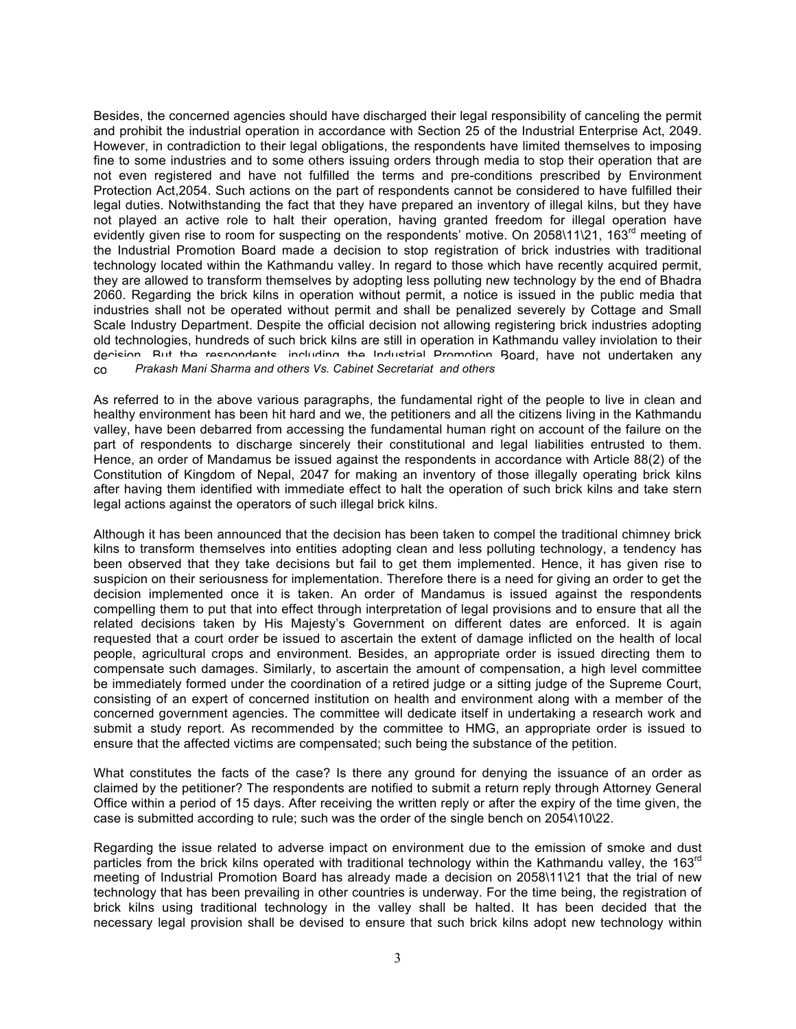Besides, the concerned agencies should have discharged their legal responsibility of canceling the permit and prohibit the industrial operation in accordance with Section 25 of the Industrial Enterprise Act, 2049. However, in contradiction to their legal obligations, the respondents have limited themselves to imposing fine to some industries and to some others issuing orders through media to stop their operation that are not even registered and have not fulfilled the terms and pre-conditions prescribed by Environment Protection Act,2054. Such actions on the part of respondents cannot be considered to have fulfilled their legal duties. Notwithstanding the fact that they have prepared an inventory of illegal kilns, but they have not played an active role to halt their operation, having granted freedom for illegal operation have evidently given rise to room for suspecting on the respondents' motive. On 2058\11\21, 163<sup>rd</sup> meeting of the Industrial Promotion Board made a decision to stop registration of brick industries with traditional technology located within the Kathmandu valley. In regard to those which have recently acquired permit, they are allowed to transform themselves by adopting less polluting new technology by the end of Bhadra 2060. Regarding the brick kilns in operation without permit, a notice is issued in the public media that industries shall not be operated without permit and shall be penalized severely by Cottage and Small Scale Industry Department. Despite the official decision not allowing registering brick industries adopting old technologies, hundreds of such brick kilns are still in operation in Kathmandu valley inviolation to their decision. But the respondents, including the Industrial Promotion Board, have not undertaken any concrete step to execute their own decisions. *Prakash Mani Sharma and others Vs. Cabinet Secretariat and others*

As referred to in the above various paragraphs, the fundamental right of the people to live in clean and healthy environment has been hit hard and we, the petitioners and all the citizens living in the Kathmandu valley, have been debarred from accessing the fundamental human right on account of the failure on the part of respondents to discharge sincerely their constitutional and legal liabilities entrusted to them. Hence, an order of Mandamus be issued against the respondents in accordance with Article 88(2) of the Constitution of Kingdom of Nepal, 2047 for making an inventory of those illegally operating brick kilns after having them identified with immediate effect to halt the operation of such brick kilns and take stern legal actions against the operators of such illegal brick kilns.

Although it has been announced that the decision has been taken to compel the traditional chimney brick kilns to transform themselves into entities adopting clean and less polluting technology, a tendency has been observed that they take decisions but fail to get them implemented. Hence, it has given rise to suspicion on their seriousness for implementation. Therefore there is a need for giving an order to get the decision implemented once it is taken. An order of Mandamus is issued against the respondents compelling them to put that into effect through interpretation of legal provisions and to ensure that all the related decisions taken by His Majesty's Government on different dates are enforced. It is again requested that a court order be issued to ascertain the extent of damage inflicted on the health of local people, agricultural crops and environment. Besides, an appropriate order is issued directing them to compensate such damages. Similarly, to ascertain the amount of compensation, a high level committee be immediately formed under the coordination of a retired judge or a sitting judge of the Supreme Court, consisting of an expert of concerned institution on health and environment along with a member of the concerned government agencies. The committee will dedicate itself in undertaking a research work and submit a study report. As recommended by the committee to HMG, an appropriate order is issued to ensure that the affected victims are compensated; such being the substance of the petition.

What constitutes the facts of the case? Is there any ground for denying the issuance of an order as claimed by the petitioner? The respondents are notified to submit a return reply through Attorney General Office within a period of 15 days. After receiving the written reply or after the expiry of the time given, the case is submitted according to rule; such was the order of the single bench on 2054\10\22.

Regarding the issue related to adverse impact on environment due to the emission of smoke and dust particles from the brick kilns operated with traditional technology within the Kathmandu valley, the 163<sup>rd</sup> meeting of Industrial Promotion Board has already made a decision on 2058\11\21 that the trial of new technology that has been prevailing in other countries is underway. For the time being, the registration of brick kilns using traditional technology in the valley shall be halted. It has been decided that the necessary legal provision shall be devised to ensure that such brick kilns adopt new technology within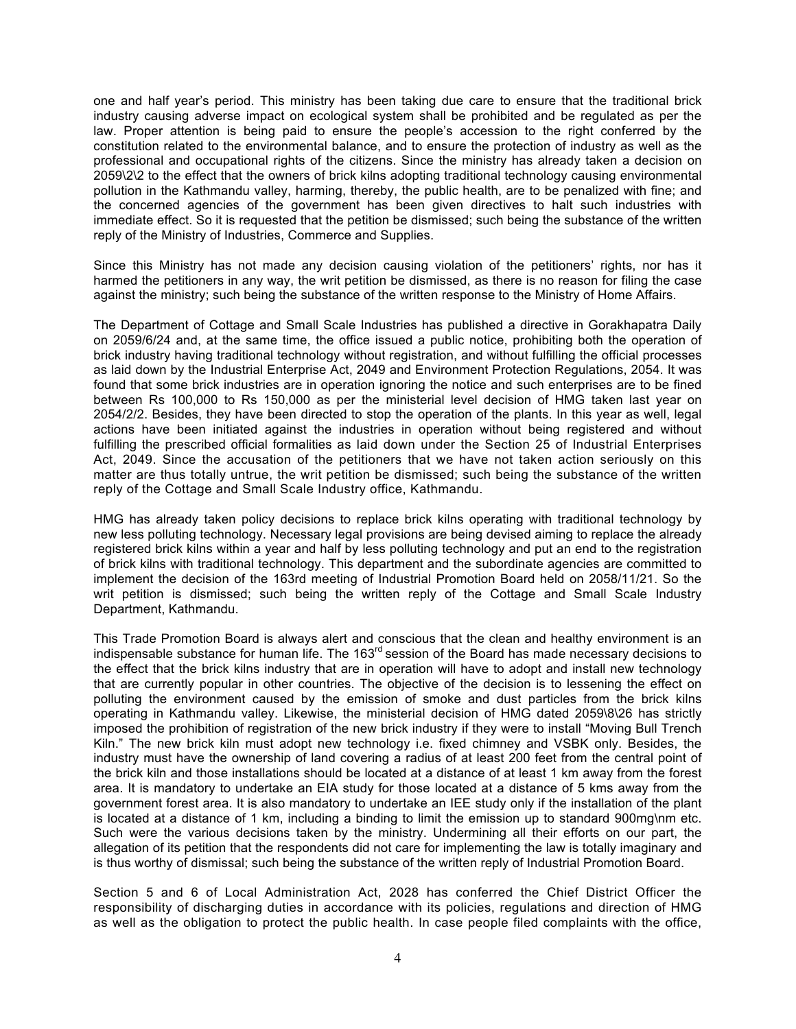one and half year's period. This ministry has been taking due care to ensure that the traditional brick industry causing adverse impact on ecological system shall be prohibited and be regulated as per the law. Proper attention is being paid to ensure the people's accession to the right conferred by the constitution related to the environmental balance, and to ensure the protection of industry as well as the professional and occupational rights of the citizens. Since the ministry has already taken a decision on 2059\2\2 to the effect that the owners of brick kilns adopting traditional technology causing environmental pollution in the Kathmandu valley, harming, thereby, the public health, are to be penalized with fine; and the concerned agencies of the government has been given directives to halt such industries with immediate effect. So it is requested that the petition be dismissed; such being the substance of the written reply of the Ministry of Industries, Commerce and Supplies.

Since this Ministry has not made any decision causing violation of the petitioners' rights, nor has it harmed the petitioners in any way, the writ petition be dismissed, as there is no reason for filing the case against the ministry; such being the substance of the written response to the Ministry of Home Affairs.

The Department of Cottage and Small Scale Industries has published a directive in Gorakhapatra Daily on 2059/6/24 and, at the same time, the office issued a public notice, prohibiting both the operation of brick industry having traditional technology without registration, and without fulfilling the official processes as laid down by the Industrial Enterprise Act, 2049 and Environment Protection Regulations, 2054. It was found that some brick industries are in operation ignoring the notice and such enterprises are to be fined between Rs 100,000 to Rs 150,000 as per the ministerial level decision of HMG taken last year on 2054/2/2. Besides, they have been directed to stop the operation of the plants. In this year as well, legal actions have been initiated against the industries in operation without being registered and without fulfilling the prescribed official formalities as laid down under the Section 25 of Industrial Enterprises Act, 2049. Since the accusation of the petitioners that we have not taken action seriously on this matter are thus totally untrue, the writ petition be dismissed; such being the substance of the written reply of the Cottage and Small Scale Industry office, Kathmandu.

HMG has already taken policy decisions to replace brick kilns operating with traditional technology by new less polluting technology. Necessary legal provisions are being devised aiming to replace the already registered brick kilns within a year and half by less polluting technology and put an end to the registration of brick kilns with traditional technology. This department and the subordinate agencies are committed to implement the decision of the 163rd meeting of Industrial Promotion Board held on 2058/11/21. So the writ petition is dismissed; such being the written reply of the Cottage and Small Scale Industry Department, Kathmandu.

This Trade Promotion Board is always alert and conscious that the clean and healthy environment is an indispensable substance for human life. The 163<sup>rd</sup> session of the Board has made necessary decisions to the effect that the brick kilns industry that are in operation will have to adopt and install new technology that are currently popular in other countries. The objective of the decision is to lessening the effect on polluting the environment caused by the emission of smoke and dust particles from the brick kilns operating in Kathmandu valley. Likewise, the ministerial decision of HMG dated 2059\8\26 has strictly imposed the prohibition of registration of the new brick industry if they were to install "Moving Bull Trench Kiln." The new brick kiln must adopt new technology i.e. fixed chimney and VSBK only. Besides, the industry must have the ownership of land covering a radius of at least 200 feet from the central point of the brick kiln and those installations should be located at a distance of at least 1 km away from the forest area. It is mandatory to undertake an EIA study for those located at a distance of 5 kms away from the government forest area. It is also mandatory to undertake an IEE study only if the installation of the plant is located at a distance of 1 km, including a binding to limit the emission up to standard 900mg\nm etc. Such were the various decisions taken by the ministry. Undermining all their efforts on our part, the allegation of its petition that the respondents did not care for implementing the law is totally imaginary and is thus worthy of dismissal; such being the substance of the written reply of Industrial Promotion Board.

Section 5 and 6 of Local Administration Act, 2028 has conferred the Chief District Officer the responsibility of discharging duties in accordance with its policies, regulations and direction of HMG as well as the obligation to protect the public health. In case people filed complaints with the office,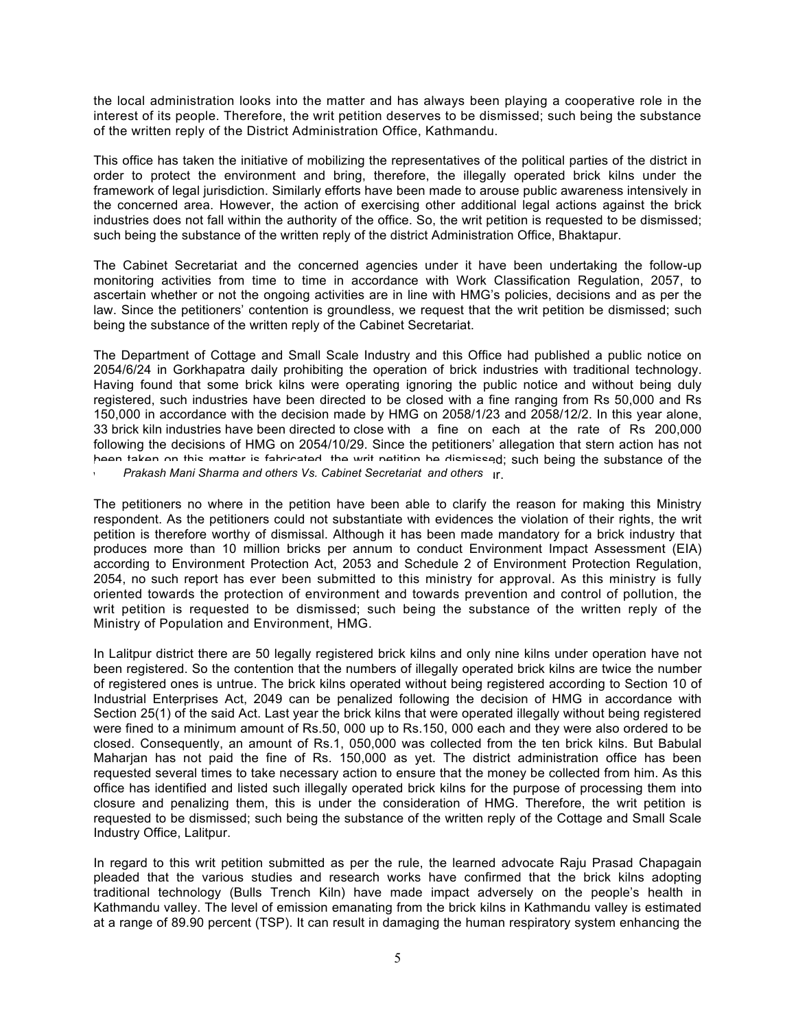the local administration looks into the matter and has always been playing a cooperative role in the interest of its people. Therefore, the writ petition deserves to be dismissed; such being the substance of the written reply of the District Administration Office, Kathmandu.

This office has taken the initiative of mobilizing the representatives of the political parties of the district in order to protect the environment and bring, therefore, the illegally operated brick kilns under the framework of legal jurisdiction. Similarly efforts have been made to arouse public awareness intensively in the concerned area. However, the action of exercising other additional legal actions against the brick industries does not fall within the authority of the office. So, the writ petition is requested to be dismissed; such being the substance of the written reply of the district Administration Office, Bhaktapur.

The Cabinet Secretariat and the concerned agencies under it have been undertaking the follow-up monitoring activities from time to time in accordance with Work Classification Regulation, 2057, to ascertain whether or not the ongoing activities are in line with HMG's policies, decisions and as per the law. Since the petitioners' contention is groundless, we request that the writ petition be dismissed; such being the substance of the written reply of the Cabinet Secretariat.

The Department of Cottage and Small Scale Industry and this Office had published a public notice on 2054/6/24 in Gorkhapatra daily prohibiting the operation of brick industries with traditional technology. Having found that some brick kilns were operating ignoring the public notice and without being duly registered, such industries have been directed to be closed with a fine ranging from Rs 50,000 and Rs 150,000 in accordance with the decision made by HMG on 2058/1/23 and 2058/12/2. In this year alone, 33 brick kiln industries have been directed to close with a fine on each at the rate of Rs 200,000 following the decisions of HMG on 2054/10/29. Since the petitioners' allegation that stern action has not been taken on this matter is fabricated, the writ petition be dismissed; such being the substance of the

**Prakash Mani Sharma and others Vs. Cabinet Secretariat and others in.** 

The petitioners no where in the petition have been able to clarify the reason for making this Ministry respondent. As the petitioners could not substantiate with evidences the violation of their rights, the writ petition is therefore worthy of dismissal. Although it has been made mandatory for a brick industry that produces more than 10 million bricks per annum to conduct Environment Impact Assessment (EIA) according to Environment Protection Act, 2053 and Schedule 2 of Environment Protection Regulation, 2054, no such report has ever been submitted to this ministry for approval. As this ministry is fully oriented towards the protection of environment and towards prevention and control of pollution, the writ petition is requested to be dismissed; such being the substance of the written reply of the Ministry of Population and Environment, HMG.

In Lalitpur district there are 50 legally registered brick kilns and only nine kilns under operation have not been registered. So the contention that the numbers of illegally operated brick kilns are twice the number of registered ones is untrue. The brick kilns operated without being registered according to Section 10 of Industrial Enterprises Act, 2049 can be penalized following the decision of HMG in accordance with Section 25(1) of the said Act. Last year the brick kilns that were operated illegally without being registered were fined to a minimum amount of Rs.50, 000 up to Rs.150, 000 each and they were also ordered to be closed. Consequently, an amount of Rs.1, 050,000 was collected from the ten brick kilns. But Babulal Maharjan has not paid the fine of Rs. 150,000 as yet. The district administration office has been requested several times to take necessary action to ensure that the money be collected from him. As this office has identified and listed such illegally operated brick kilns for the purpose of processing them into closure and penalizing them, this is under the consideration of HMG. Therefore, the writ petition is requested to be dismissed; such being the substance of the written reply of the Cottage and Small Scale Industry Office, Lalitpur.

In regard to this writ petition submitted as per the rule, the learned advocate Raju Prasad Chapagain pleaded that the various studies and research works have confirmed that the brick kilns adopting traditional technology (Bulls Trench Kiln) have made impact adversely on the people's health in Kathmandu valley. The level of emission emanating from the brick kilns in Kathmandu valley is estimated at a range of 89.90 percent (TSP). It can result in damaging the human respiratory system enhancing the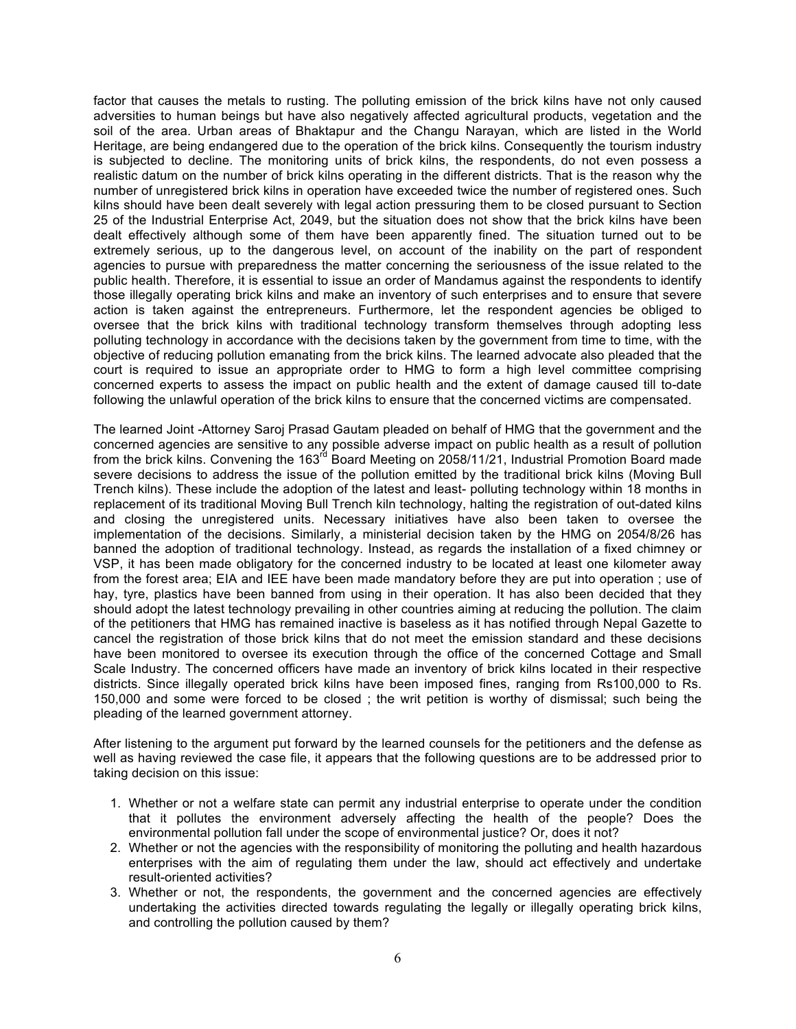factor that causes the metals to rusting. The polluting emission of the brick kilns have not only caused adversities to human beings but have also negatively affected agricultural products, vegetation and the soil of the area. Urban areas of Bhaktapur and the Changu Narayan, which are listed in the World Heritage, are being endangered due to the operation of the brick kilns. Consequently the tourism industry is subjected to decline. The monitoring units of brick kilns, the respondents, do not even possess a realistic datum on the number of brick kilns operating in the different districts. That is the reason why the number of unregistered brick kilns in operation have exceeded twice the number of registered ones. Such kilns should have been dealt severely with legal action pressuring them to be closed pursuant to Section 25 of the Industrial Enterprise Act, 2049, but the situation does not show that the brick kilns have been dealt effectively although some of them have been apparently fined. The situation turned out to be extremely serious, up to the dangerous level, on account of the inability on the part of respondent agencies to pursue with preparedness the matter concerning the seriousness of the issue related to the public health. Therefore, it is essential to issue an order of Mandamus against the respondents to identify those illegally operating brick kilns and make an inventory of such enterprises and to ensure that severe action is taken against the entrepreneurs. Furthermore, let the respondent agencies be obliged to oversee that the brick kilns with traditional technology transform themselves through adopting less polluting technology in accordance with the decisions taken by the government from time to time, with the objective of reducing pollution emanating from the brick kilns. The learned advocate also pleaded that the court is required to issue an appropriate order to HMG to form a high level committee comprising concerned experts to assess the impact on public health and the extent of damage caused till to-date following the unlawful operation of the brick kilns to ensure that the concerned victims are compensated.

The learned Joint -Attorney Saroj Prasad Gautam pleaded on behalf of HMG that the government and the concerned agencies are sensitive to any possible adverse impact on public health as a result of pollution from the brick kilns. Convening the 163<sup>rd</sup> Board Meeting on 2058/11/21, Industrial Promotion Board made severe decisions to address the issue of the pollution emitted by the traditional brick kilns (Moving Bull Trench kilns). These include the adoption of the latest and least- polluting technology within 18 months in replacement of its traditional Moving Bull Trench kiln technology, halting the registration of out-dated kilns and closing the unregistered units. Necessary initiatives have also been taken to oversee the implementation of the decisions. Similarly, a ministerial decision taken by the HMG on 2054/8/26 has banned the adoption of traditional technology. Instead, as regards the installation of a fixed chimney or VSP, it has been made obligatory for the concerned industry to be located at least one kilometer away from the forest area; EIA and IEE have been made mandatory before they are put into operation ; use of hay, tyre, plastics have been banned from using in their operation. It has also been decided that they should adopt the latest technology prevailing in other countries aiming at reducing the pollution. The claim of the petitioners that HMG has remained inactive is baseless as it has notified through Nepal Gazette to cancel the registration of those brick kilns that do not meet the emission standard and these decisions have been monitored to oversee its execution through the office of the concerned Cottage and Small Scale Industry. The concerned officers have made an inventory of brick kilns located in their respective districts. Since illegally operated brick kilns have been imposed fines, ranging from Rs100,000 to Rs. 150,000 and some were forced to be closed ; the writ petition is worthy of dismissal; such being the pleading of the learned government attorney.

After listening to the argument put forward by the learned counsels for the petitioners and the defense as well as having reviewed the case file, it appears that the following questions are to be addressed prior to taking decision on this issue:

- 1. Whether or not a welfare state can permit any industrial enterprise to operate under the condition that it pollutes the environment adversely affecting the health of the people? Does the environmental pollution fall under the scope of environmental justice? Or, does it not?
- 2. Whether or not the agencies with the responsibility of monitoring the polluting and health hazardous enterprises with the aim of regulating them under the law, should act effectively and undertake result-oriented activities?
- 3. Whether or not, the respondents, the government and the concerned agencies are effectively undertaking the activities directed towards regulating the legally or illegally operating brick kilns, and controlling the pollution caused by them?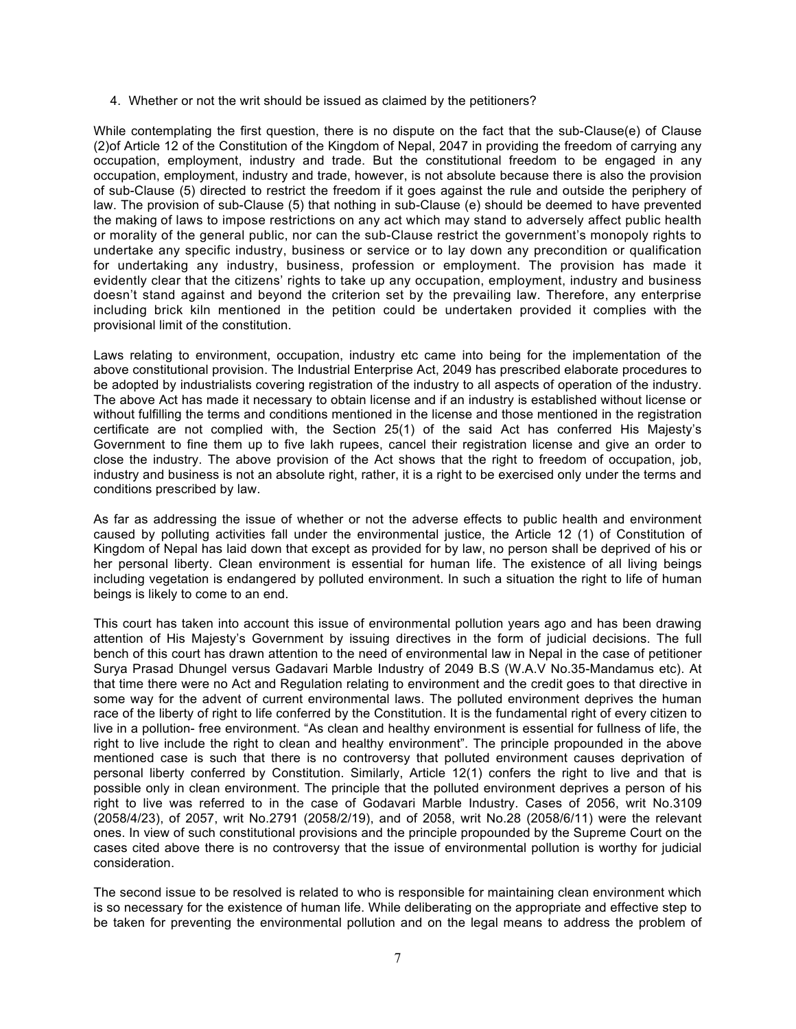4. Whether or not the writ should be issued as claimed by the petitioners?

While contemplating the first question, there is no dispute on the fact that the sub-Clause(e) of Clause (2)of Article 12 of the Constitution of the Kingdom of Nepal, 2047 in providing the freedom of carrying any occupation, employment, industry and trade. But the constitutional freedom to be engaged in any occupation, employment, industry and trade, however, is not absolute because there is also the provision of sub-Clause (5) directed to restrict the freedom if it goes against the rule and outside the periphery of law. The provision of sub-Clause (5) that nothing in sub-Clause (e) should be deemed to have prevented the making of laws to impose restrictions on any act which may stand to adversely affect public health or morality of the general public, nor can the sub-Clause restrict the government's monopoly rights to undertake any specific industry, business or service or to lay down any precondition or qualification for undertaking any industry, business, profession or employment. The provision has made it evidently clear that the citizens' rights to take up any occupation, employment, industry and business doesn't stand against and beyond the criterion set by the prevailing law. Therefore, any enterprise including brick kiln mentioned in the petition could be undertaken provided it complies with the provisional limit of the constitution.

Laws relating to environment, occupation, industry etc came into being for the implementation of the above constitutional provision. The Industrial Enterprise Act, 2049 has prescribed elaborate procedures to be adopted by industrialists covering registration of the industry to all aspects of operation of the industry. The above Act has made it necessary to obtain license and if an industry is established without license or without fulfilling the terms and conditions mentioned in the license and those mentioned in the registration certificate are not complied with, the Section 25(1) of the said Act has conferred His Majesty's Government to fine them up to five lakh rupees, cancel their registration license and give an order to close the industry. The above provision of the Act shows that the right to freedom of occupation, job, industry and business is not an absolute right, rather, it is a right to be exercised only under the terms and conditions prescribed by law.

As far as addressing the issue of whether or not the adverse effects to public health and environment caused by polluting activities fall under the environmental justice, the Article 12 (1) of Constitution of Kingdom of Nepal has laid down that except as provided for by law, no person shall be deprived of his or her personal liberty. Clean environment is essential for human life. The existence of all living beings including vegetation is endangered by polluted environment. In such a situation the right to life of human beings is likely to come to an end.

This court has taken into account this issue of environmental pollution years ago and has been drawing attention of His Majesty's Government by issuing directives in the form of judicial decisions. The full bench of this court has drawn attention to the need of environmental law in Nepal in the case of petitioner Surya Prasad Dhungel versus Gadavari Marble Industry of 2049 B.S (W.A.V No.35-Mandamus etc). At that time there were no Act and Regulation relating to environment and the credit goes to that directive in some way for the advent of current environmental laws. The polluted environment deprives the human race of the liberty of right to life conferred by the Constitution. It is the fundamental right of every citizen to live in a pollution- free environment. "As clean and healthy environment is essential for fullness of life, the right to live include the right to clean and healthy environment". The principle propounded in the above mentioned case is such that there is no controversy that polluted environment causes deprivation of personal liberty conferred by Constitution. Similarly, Article 12(1) confers the right to live and that is possible only in clean environment. The principle that the polluted environment deprives a person of his right to live was referred to in the case of Godavari Marble Industry. Cases of 2056, writ No.3109 (2058/4/23), of 2057, writ No.2791 (2058/2/19), and of 2058, writ No.28 (2058/6/11) were the relevant ones. In view of such constitutional provisions and the principle propounded by the Supreme Court on the cases cited above there is no controversy that the issue of environmental pollution is worthy for judicial consideration.

The second issue to be resolved is related to who is responsible for maintaining clean environment which is so necessary for the existence of human life. While deliberating on the appropriate and effective step to be taken for preventing the environmental pollution and on the legal means to address the problem of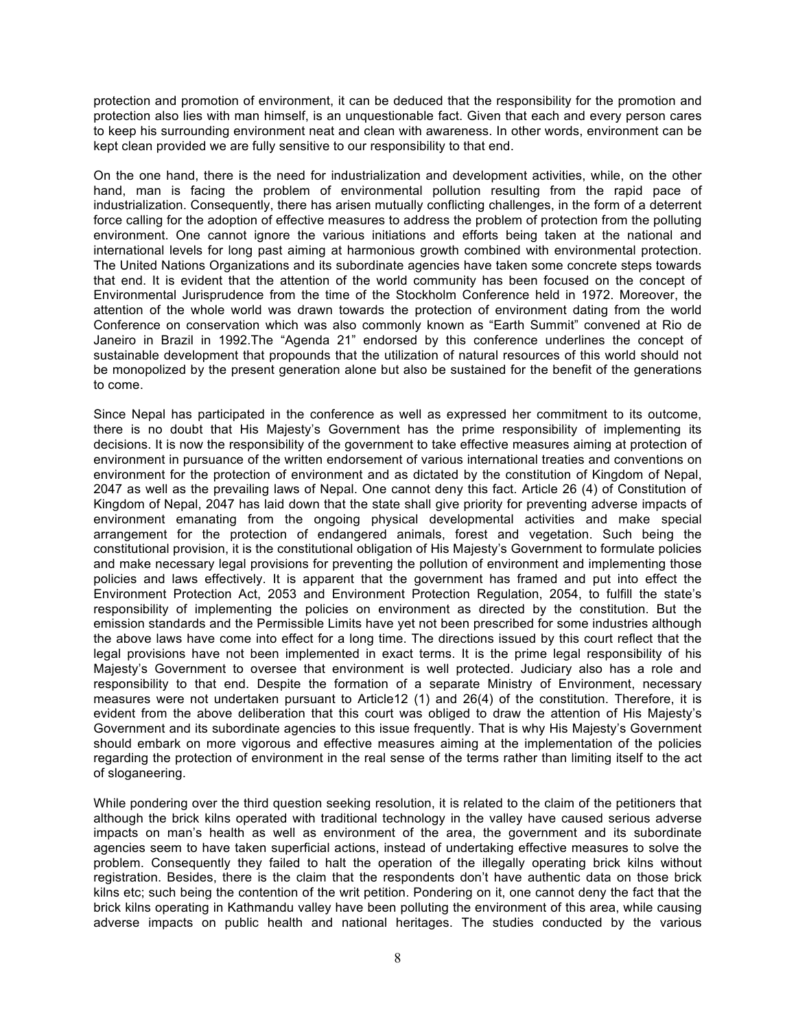protection and promotion of environment, it can be deduced that the responsibility for the promotion and protection also lies with man himself, is an unquestionable fact. Given that each and every person cares to keep his surrounding environment neat and clean with awareness. In other words, environment can be kept clean provided we are fully sensitive to our responsibility to that end.

On the one hand, there is the need for industrialization and development activities, while, on the other hand, man is facing the problem of environmental pollution resulting from the rapid pace of industrialization. Consequently, there has arisen mutually conflicting challenges, in the form of a deterrent force calling for the adoption of effective measures to address the problem of protection from the polluting environment. One cannot ignore the various initiations and efforts being taken at the national and international levels for long past aiming at harmonious growth combined with environmental protection. The United Nations Organizations and its subordinate agencies have taken some concrete steps towards that end. It is evident that the attention of the world community has been focused on the concept of Environmental Jurisprudence from the time of the Stockholm Conference held in 1972. Moreover, the attention of the whole world was drawn towards the protection of environment dating from the world Conference on conservation which was also commonly known as "Earth Summit" convened at Rio de Janeiro in Brazil in 1992.The "Agenda 21" endorsed by this conference underlines the concept of sustainable development that propounds that the utilization of natural resources of this world should not be monopolized by the present generation alone but also be sustained for the benefit of the generations to come.

Since Nepal has participated in the conference as well as expressed her commitment to its outcome, there is no doubt that His Majesty's Government has the prime responsibility of implementing its decisions. It is now the responsibility of the government to take effective measures aiming at protection of environment in pursuance of the written endorsement of various international treaties and conventions on environment for the protection of environment and as dictated by the constitution of Kingdom of Nepal, 2047 as well as the prevailing laws of Nepal. One cannot deny this fact. Article 26 (4) of Constitution of Kingdom of Nepal, 2047 has laid down that the state shall give priority for preventing adverse impacts of environment emanating from the ongoing physical developmental activities and make special arrangement for the protection of endangered animals, forest and vegetation. Such being the constitutional provision, it is the constitutional obligation of His Majesty's Government to formulate policies and make necessary legal provisions for preventing the pollution of environment and implementing those policies and laws effectively. It is apparent that the government has framed and put into effect the Environment Protection Act, 2053 and Environment Protection Regulation, 2054, to fulfill the state's responsibility of implementing the policies on environment as directed by the constitution. But the emission standards and the Permissible Limits have yet not been prescribed for some industries although the above laws have come into effect for a long time. The directions issued by this court reflect that the legal provisions have not been implemented in exact terms. It is the prime legal responsibility of his Majesty's Government to oversee that environment is well protected. Judiciary also has a role and responsibility to that end. Despite the formation of a separate Ministry of Environment, necessary measures were not undertaken pursuant to Article12 (1) and 26(4) of the constitution. Therefore, it is evident from the above deliberation that this court was obliged to draw the attention of His Majesty's Government and its subordinate agencies to this issue frequently. That is why His Majesty's Government should embark on more vigorous and effective measures aiming at the implementation of the policies regarding the protection of environment in the real sense of the terms rather than limiting itself to the act of sloganeering.

While pondering over the third question seeking resolution, it is related to the claim of the petitioners that although the brick kilns operated with traditional technology in the valley have caused serious adverse impacts on man's health as well as environment of the area, the government and its subordinate agencies seem to have taken superficial actions, instead of undertaking effective measures to solve the problem. Consequently they failed to halt the operation of the illegally operating brick kilns without registration. Besides, there is the claim that the respondents don't have authentic data on those brick kilns etc; such being the contention of the writ petition. Pondering on it, one cannot deny the fact that the brick kilns operating in Kathmandu valley have been polluting the environment of this area, while causing adverse impacts on public health and national heritages. The studies conducted by the various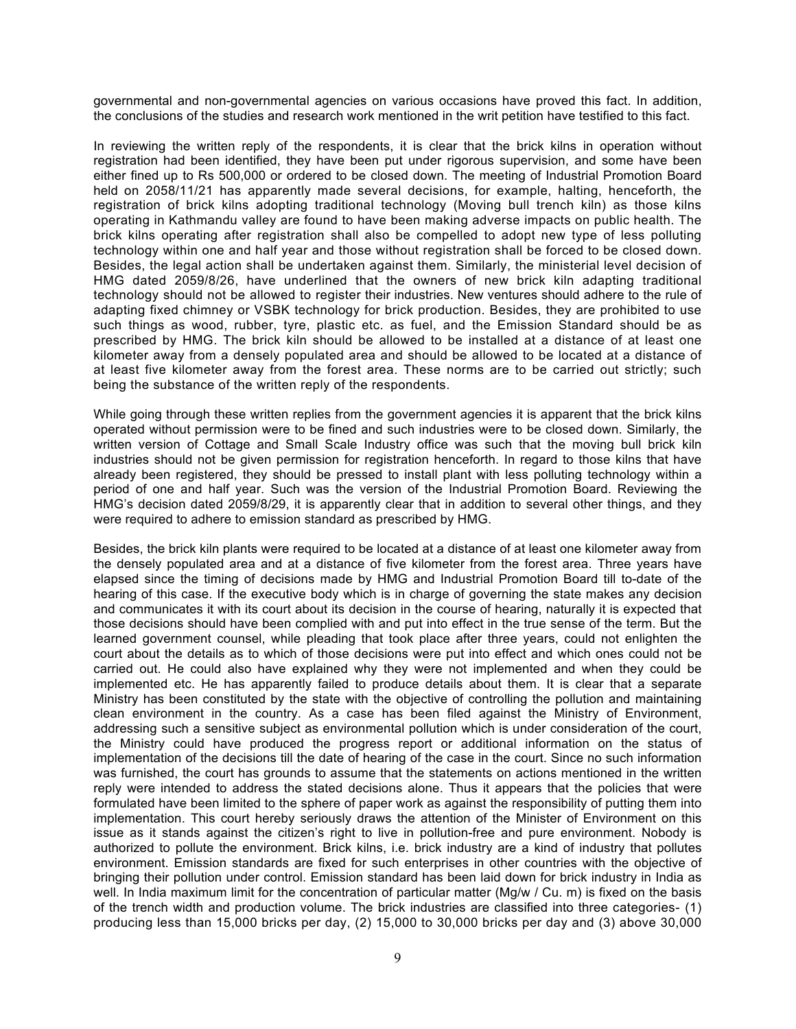governmental and non-governmental agencies on various occasions have proved this fact. In addition, the conclusions of the studies and research work mentioned in the writ petition have testified to this fact.

In reviewing the written reply of the respondents, it is clear that the brick kilns in operation without registration had been identified, they have been put under rigorous supervision, and some have been either fined up to Rs 500,000 or ordered to be closed down. The meeting of Industrial Promotion Board held on 2058/11/21 has apparently made several decisions, for example, halting, henceforth, the registration of brick kilns adopting traditional technology (Moving bull trench kiln) as those kilns operating in Kathmandu valley are found to have been making adverse impacts on public health. The brick kilns operating after registration shall also be compelled to adopt new type of less polluting technology within one and half year and those without registration shall be forced to be closed down. Besides, the legal action shall be undertaken against them. Similarly, the ministerial level decision of HMG dated 2059/8/26, have underlined that the owners of new brick kiln adapting traditional technology should not be allowed to register their industries. New ventures should adhere to the rule of adapting fixed chimney or VSBK technology for brick production. Besides, they are prohibited to use such things as wood, rubber, tyre, plastic etc. as fuel, and the Emission Standard should be as prescribed by HMG. The brick kiln should be allowed to be installed at a distance of at least one kilometer away from a densely populated area and should be allowed to be located at a distance of at least five kilometer away from the forest area. These norms are to be carried out strictly; such being the substance of the written reply of the respondents.

While going through these written replies from the government agencies it is apparent that the brick kilns operated without permission were to be fined and such industries were to be closed down. Similarly, the written version of Cottage and Small Scale Industry office was such that the moving bull brick kiln industries should not be given permission for registration henceforth. In regard to those kilns that have already been registered, they should be pressed to install plant with less polluting technology within a period of one and half year. Such was the version of the Industrial Promotion Board. Reviewing the HMG's decision dated 2059/8/29, it is apparently clear that in addition to several other things, and they were required to adhere to emission standard as prescribed by HMG.

Besides, the brick kiln plants were required to be located at a distance of at least one kilometer away from the densely populated area and at a distance of five kilometer from the forest area. Three years have elapsed since the timing of decisions made by HMG and Industrial Promotion Board till to-date of the hearing of this case. If the executive body which is in charge of governing the state makes any decision and communicates it with its court about its decision in the course of hearing, naturally it is expected that those decisions should have been complied with and put into effect in the true sense of the term. But the learned government counsel, while pleading that took place after three years, could not enlighten the court about the details as to which of those decisions were put into effect and which ones could not be carried out. He could also have explained why they were not implemented and when they could be implemented etc. He has apparently failed to produce details about them. It is clear that a separate Ministry has been constituted by the state with the objective of controlling the pollution and maintaining clean environment in the country. As a case has been filed against the Ministry of Environment, addressing such a sensitive subject as environmental pollution which is under consideration of the court, the Ministry could have produced the progress report or additional information on the status of implementation of the decisions till the date of hearing of the case in the court. Since no such information was furnished, the court has grounds to assume that the statements on actions mentioned in the written reply were intended to address the stated decisions alone. Thus it appears that the policies that were formulated have been limited to the sphere of paper work as against the responsibility of putting them into implementation. This court hereby seriously draws the attention of the Minister of Environment on this issue as it stands against the citizen's right to live in pollution-free and pure environment. Nobody is authorized to pollute the environment. Brick kilns, i.e. brick industry are a kind of industry that pollutes environment. Emission standards are fixed for such enterprises in other countries with the objective of bringing their pollution under control. Emission standard has been laid down for brick industry in India as well. In India maximum limit for the concentration of particular matter (Mg/w / Cu. m) is fixed on the basis of the trench width and production volume. The brick industries are classified into three categories- (1) producing less than 15,000 bricks per day, (2) 15,000 to 30,000 bricks per day and (3) above 30,000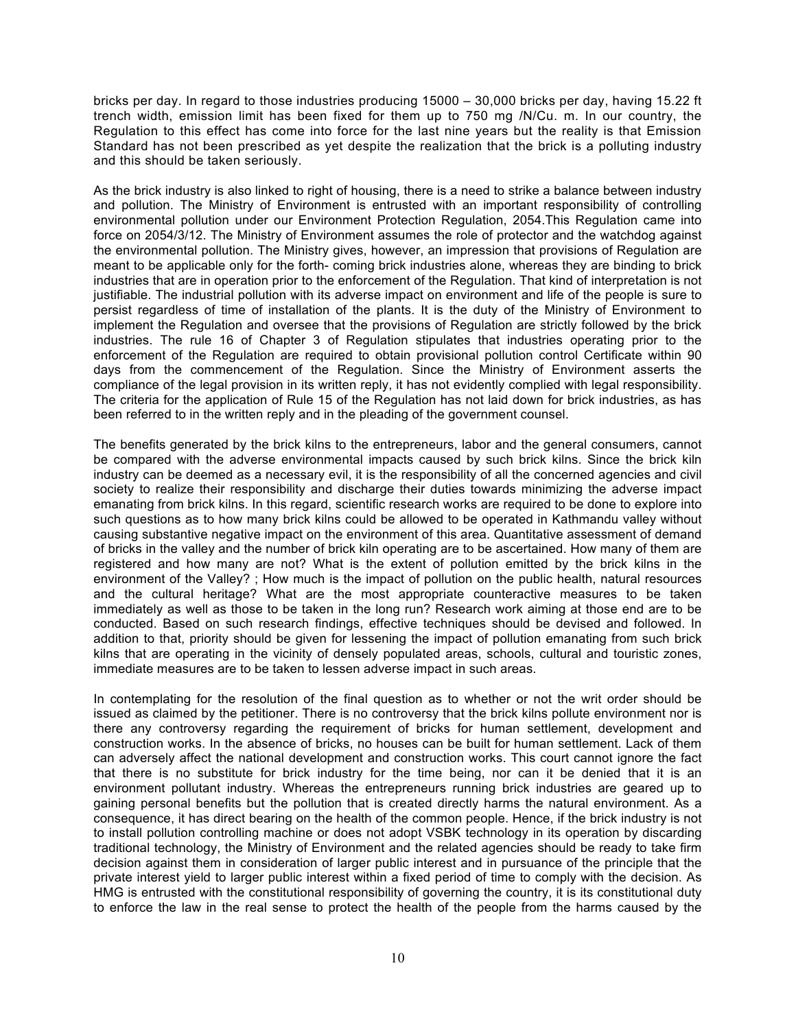bricks per day. In regard to those industries producing 15000 – 30,000 bricks per day, having 15.22 ft trench width, emission limit has been fixed for them up to 750 mg /N/Cu. m. In our country, the Regulation to this effect has come into force for the last nine years but the reality is that Emission Standard has not been prescribed as yet despite the realization that the brick is a polluting industry and this should be taken seriously.

As the brick industry is also linked to right of housing, there is a need to strike a balance between industry and pollution. The Ministry of Environment is entrusted with an important responsibility of controlling environmental pollution under our Environment Protection Regulation, 2054.This Regulation came into force on 2054/3/12. The Ministry of Environment assumes the role of protector and the watchdog against the environmental pollution. The Ministry gives, however, an impression that provisions of Regulation are meant to be applicable only for the forth- coming brick industries alone, whereas they are binding to brick industries that are in operation prior to the enforcement of the Regulation. That kind of interpretation is not justifiable. The industrial pollution with its adverse impact on environment and life of the people is sure to persist regardless of time of installation of the plants. It is the duty of the Ministry of Environment to implement the Regulation and oversee that the provisions of Regulation are strictly followed by the brick industries. The rule 16 of Chapter 3 of Regulation stipulates that industries operating prior to the enforcement of the Regulation are required to obtain provisional pollution control Certificate within 90 days from the commencement of the Regulation. Since the Ministry of Environment asserts the compliance of the legal provision in its written reply, it has not evidently complied with legal responsibility. The criteria for the application of Rule 15 of the Regulation has not laid down for brick industries, as has been referred to in the written reply and in the pleading of the government counsel.

The benefits generated by the brick kilns to the entrepreneurs, labor and the general consumers, cannot be compared with the adverse environmental impacts caused by such brick kilns. Since the brick kiln industry can be deemed as a necessary evil, it is the responsibility of all the concerned agencies and civil society to realize their responsibility and discharge their duties towards minimizing the adverse impact emanating from brick kilns. In this regard, scientific research works are required to be done to explore into such questions as to how many brick kilns could be allowed to be operated in Kathmandu valley without causing substantive negative impact on the environment of this area. Quantitative assessment of demand of bricks in the valley and the number of brick kiln operating are to be ascertained. How many of them are registered and how many are not? What is the extent of pollution emitted by the brick kilns in the environment of the Valley? ; How much is the impact of pollution on the public health, natural resources and the cultural heritage? What are the most appropriate counteractive measures to be taken immediately as well as those to be taken in the long run? Research work aiming at those end are to be conducted. Based on such research findings, effective techniques should be devised and followed. In addition to that, priority should be given for lessening the impact of pollution emanating from such brick kilns that are operating in the vicinity of densely populated areas, schools, cultural and touristic zones, immediate measures are to be taken to lessen adverse impact in such areas.

In contemplating for the resolution of the final question as to whether or not the writ order should be issued as claimed by the petitioner. There is no controversy that the brick kilns pollute environment nor is there any controversy regarding the requirement of bricks for human settlement, development and construction works. In the absence of bricks, no houses can be built for human settlement. Lack of them can adversely affect the national development and construction works. This court cannot ignore the fact that there is no substitute for brick industry for the time being, nor can it be denied that it is an environment pollutant industry. Whereas the entrepreneurs running brick industries are geared up to gaining personal benefits but the pollution that is created directly harms the natural environment. As a consequence, it has direct bearing on the health of the common people. Hence, if the brick industry is not to install pollution controlling machine or does not adopt VSBK technology in its operation by discarding traditional technology, the Ministry of Environment and the related agencies should be ready to take firm decision against them in consideration of larger public interest and in pursuance of the principle that the private interest yield to larger public interest within a fixed period of time to comply with the decision. As HMG is entrusted with the constitutional responsibility of governing the country, it is its constitutional duty to enforce the law in the real sense to protect the health of the people from the harms caused by the